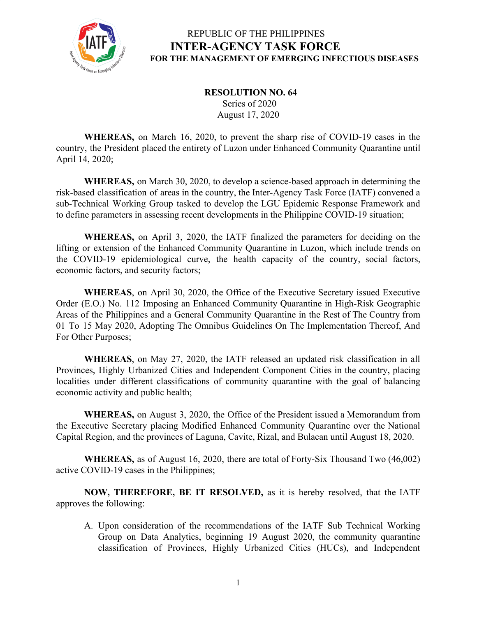

#### **RESOLUTION NO. 64** Series of 2020 August 17, 2020

**WHEREAS,** on March 16, 2020, to prevent the sharp rise of COVID-19 cases in the country, the President placed the entirety of Luzon under Enhanced Community Quarantine until April 14, 2020;

**WHEREAS,** on March 30, 2020, to develop a science-based approach in determining the risk-based classification of areas in the country, the Inter-Agency Task Force (IATF) convened a sub-Technical Working Group tasked to develop the LGU Epidemic Response Framework and to define parameters in assessing recent developments in the Philippine COVID-19 situation;

**WHEREAS,** on April 3, 2020, the IATF finalized the parameters for deciding on the lifting or extension of the Enhanced Community Quarantine in Luzon, which include trends on the COVID-19 epidemiological curve, the health capacity of the country, social factors, economic factors, and security factors;

**WHEREAS**, on April 30, 2020, the Office of the Executive Secretary issued Executive Order (E.O.) No. 112 Imposing an Enhanced Community Quarantine in High-Risk Geographic Areas of the Philippines and a General Community Quarantine in the Rest of The Country from 01 To 15 May 2020, Adopting The Omnibus Guidelines On The Implementation Thereof, And For Other Purposes;

**WHEREAS**, on May 27, 2020, the IATF released an updated risk classification in all Provinces, Highly Urbanized Cities and Independent Component Cities in the country, placing localities under different classifications of community quarantine with the goal of balancing economic activity and public health;

**WHEREAS,** on August 3, 2020, the Office of the President issued a Memorandum from the Executive Secretary placing Modified Enhanced Community Quarantine over the National Capital Region, and the provinces of Laguna, Cavite, Rizal, and Bulacan until August 18, 2020.

**WHEREAS,** as of August 16, 2020, there are total of Forty-Six Thousand Two (46,002) active COVID-19 cases in the Philippines;

**NOW, THEREFORE, BE IT RESOLVED,** as it is hereby resolved, that the IATF approves the following:

A. Upon consideration of the recommendations of the IATF Sub Technical Working Group on Data Analytics, beginning 19 August 2020, the community quarantine classification of Provinces, Highly Urbanized Cities (HUCs), and Independent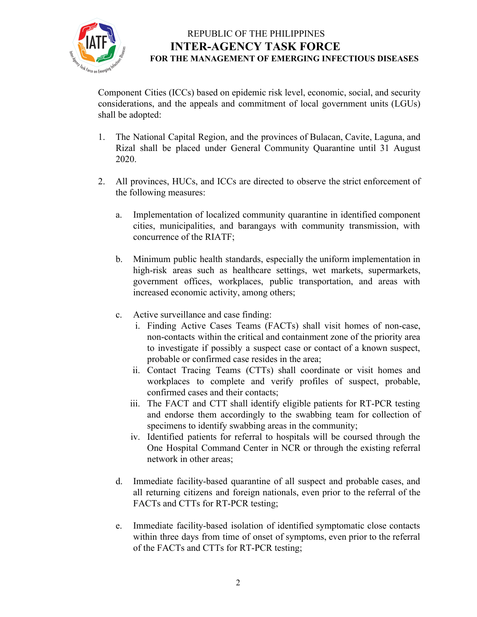

Component Cities (ICCs) based on epidemic risk level, economic, social, and security considerations, and the appeals and commitment of local government units (LGUs) shall be adopted:

- 1. The National Capital Region, and the provinces of Bulacan, Cavite, Laguna, and Rizal shall be placed under General Community Quarantine until 31 August 2020.
- 2. All provinces, HUCs, and ICCs are directed to observe the strict enforcement of the following measures:
	- a. Implementation of localized community quarantine in identified component cities, municipalities, and barangays with community transmission, with concurrence of the RIATF;
	- b. Minimum public health standards, especially the uniform implementation in high-risk areas such as healthcare settings, wet markets, supermarkets, government offices, workplaces, public transportation, and areas with increased economic activity, among others;
	- c. Active surveillance and case finding:
		- i. Finding Active Cases Teams (FACTs) shall visit homes of non-case, non-contacts within the critical and containment zone of the priority area to investigate if possibly a suspect case or contact of a known suspect, probable or confirmed case resides in the area;
		- ii. Contact Tracing Teams (CTTs) shall coordinate or visit homes and workplaces to complete and verify profiles of suspect, probable, confirmed cases and their contacts;
		- iii. The FACT and CTT shall identify eligible patients for RT-PCR testing and endorse them accordingly to the swabbing team for collection of specimens to identify swabbing areas in the community;
		- iv. Identified patients for referral to hospitals will be coursed through the One Hospital Command Center in NCR or through the existing referral network in other areas;
	- d. Immediate facility-based quarantine of all suspect and probable cases, and all returning citizens and foreign nationals, even prior to the referral of the FACTs and CTTs for RT-PCR testing;
	- e. Immediate facility-based isolation of identified symptomatic close contacts within three days from time of onset of symptoms, even prior to the referral of the FACTs and CTTs for RT-PCR testing;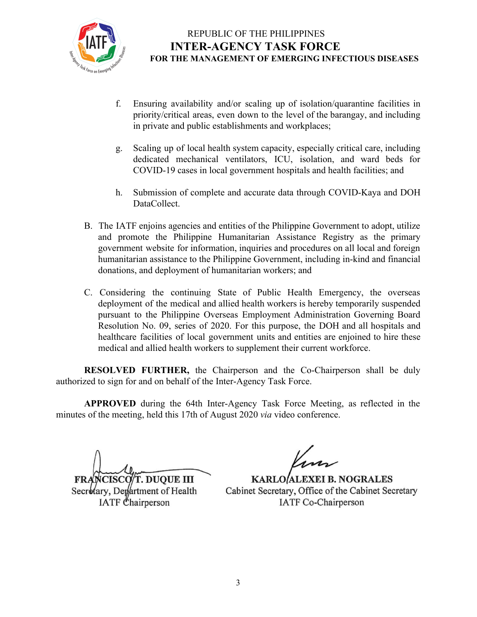

- f. Ensuring availability and/or scaling up of isolation/quarantine facilities in priority/critical areas, even down to the level of the barangay, and including in private and public establishments and workplaces;
- g. Scaling up of local health system capacity, especially critical care, including dedicated mechanical ventilators, ICU, isolation, and ward beds for COVID-19 cases in local government hospitals and health facilities; and
- h. Submission of complete and accurate data through COVID-Kaya and DOH DataCollect.
- B. The IATF enjoins agencies and entities of the Philippine Government to adopt, utilize and promote the Philippine Humanitarian Assistance Registry as the primary government website for information, inquiries and procedures on all local and foreign humanitarian assistance to the Philippine Government, including in-kind and financial donations, and deployment of humanitarian workers; and
- C. Considering the continuing State of Public Health Emergency, the overseas deployment of the medical and allied health workers is hereby temporarily suspended pursuant to the Philippine Overseas Employment Administration Governing Board Resolution No. 09, series of 2020. For this purpose, the DOH and all hospitals and healthcare facilities of local government units and entities are enjoined to hire these medical and allied health workers to supplement their current workforce.

**RESOLVED FURTHER,** the Chairperson and the Co-Chairperson shall be duly authorized to sign for and on behalf of the Inter-Agency Task Force.

**APPROVED** during the 64th Inter-Agency Task Force Meeting, as reflected in the minutes of the meeting, held this 17th of August 2020 *via* video conference.

**CISCO/T. DUQUE III** 

Secretary, Department of Health IATF Chairperson

KARLO ALEXEI B. NOGRALES Cabinet Secretary, Office of the Cabinet Secretary **IATF** Co-Chairperson